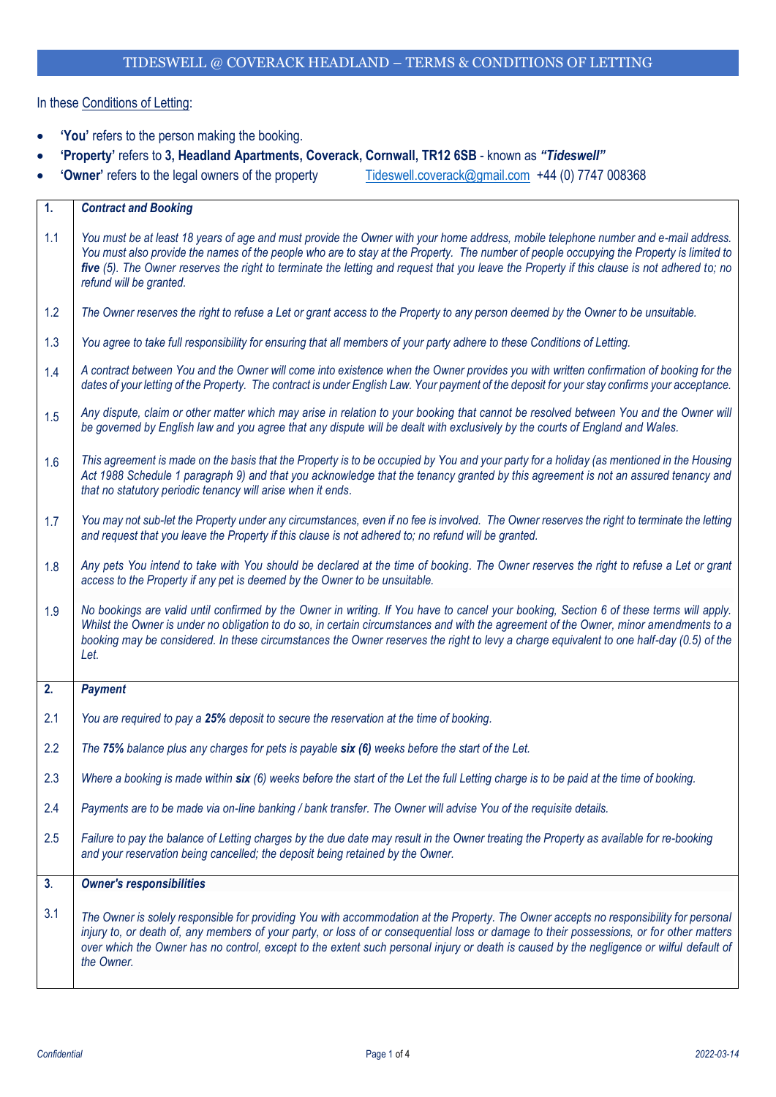## In these Conditions of Letting:

- **'You'** refers to the person making the booking.
- **'Property'** refers to **3, Headland Apartments, Coverack, Cornwall, TR12 6SB** known as *"Tideswell"*
- 'Owner' refers to the legal owners of the property [Tideswell.coverack@gmail.com](mailto:Tideswell.coverack@gmail.com) +44 (0) 7747 008368

| 1.             | <b>Contract and Booking</b>                                                                                                                                                                                                                                                                                                                                                                                                                                |
|----------------|------------------------------------------------------------------------------------------------------------------------------------------------------------------------------------------------------------------------------------------------------------------------------------------------------------------------------------------------------------------------------------------------------------------------------------------------------------|
| 1.1            | You must be at least 18 years of age and must provide the Owner with your home address, mobile telephone number and e-mail address.<br>You must also provide the names of the people who are to stay at the Property. The number of people occupying the Property is limited to<br>five (5). The Owner reserves the right to terminate the letting and request that you leave the Property if this clause is not adhered to; no<br>refund will be granted. |
| 1.2            | The Owner reserves the right to refuse a Let or grant access to the Property to any person deemed by the Owner to be unsuitable.                                                                                                                                                                                                                                                                                                                           |
| 1.3            | You agree to take full responsibility for ensuring that all members of your party adhere to these Conditions of Letting.                                                                                                                                                                                                                                                                                                                                   |
| 1.4            | A contract between You and the Owner will come into existence when the Owner provides you with written confirmation of booking for the<br>dates of your letting of the Property. The contract is under English Law. Your payment of the deposit for your stay confirms your acceptance.                                                                                                                                                                    |
| 1.5            | Any dispute, claim or other matter which may arise in relation to your booking that cannot be resolved between You and the Owner will<br>be governed by English law and you agree that any dispute will be dealt with exclusively by the courts of England and Wales.                                                                                                                                                                                      |
| 1.6            | This agreement is made on the basis that the Property is to be occupied by You and your party for a holiday (as mentioned in the Housing<br>Act 1988 Schedule 1 paragraph 9) and that you acknowledge that the tenancy granted by this agreement is not an assured tenancy and<br>that no statutory periodic tenancy will arise when it ends.                                                                                                              |
| 1.7            | You may not sub-let the Property under any circumstances, even if no fee is involved. The Owner reserves the right to terminate the letting<br>and request that you leave the Property if this clause is not adhered to; no refund will be granted.                                                                                                                                                                                                        |
| 1.8            | Any pets You intend to take with You should be declared at the time of booking. The Owner reserves the right to refuse a Let or grant<br>access to the Property if any pet is deemed by the Owner to be unsuitable.                                                                                                                                                                                                                                        |
| 1.9            | No bookings are valid until confirmed by the Owner in writing. If You have to cancel your booking, Section 6 of these terms will apply.<br>Whilst the Owner is under no obligation to do so, in certain circumstances and with the agreement of the Owner, minor amendments to a<br>booking may be considered. In these circumstances the Owner reserves the right to levy a charge equivalent to one half-day (0.5) of the<br>Let.                        |
| 2.             | <b>Payment</b>                                                                                                                                                                                                                                                                                                                                                                                                                                             |
| 2.1            | You are required to pay a 25% deposit to secure the reservation at the time of booking.                                                                                                                                                                                                                                                                                                                                                                    |
| 2.2            | The 75% balance plus any charges for pets is payable six (6) weeks before the start of the Let.                                                                                                                                                                                                                                                                                                                                                            |
| 2.3            | Where a booking is made within six (6) weeks before the start of the Let the full Letting charge is to be paid at the time of booking.                                                                                                                                                                                                                                                                                                                     |
| 2.4            | Payments are to be made via on-line banking / bank transfer. The Owner will advise You of the requisite details.                                                                                                                                                                                                                                                                                                                                           |
| 2.5            | Failure to pay the balance of Letting charges by the due date may result in the Owner treating the Property as available for re-booking<br>and your reservation being cancelled; the deposit being retained by the Owner.                                                                                                                                                                                                                                  |
| 3 <sub>1</sub> | <b>Owner's responsibilities</b>                                                                                                                                                                                                                                                                                                                                                                                                                            |
| 3.1            | The Owner is solely responsible for providing You with accommodation at the Property. The Owner accepts no responsibility for personal<br>injury to, or death of, any members of your party, or loss of or consequential loss or damage to their possessions, or for other matters<br>over which the Owner has no control, except to the extent such personal injury or death is caused by the negligence or wilful default of<br>the Owner.               |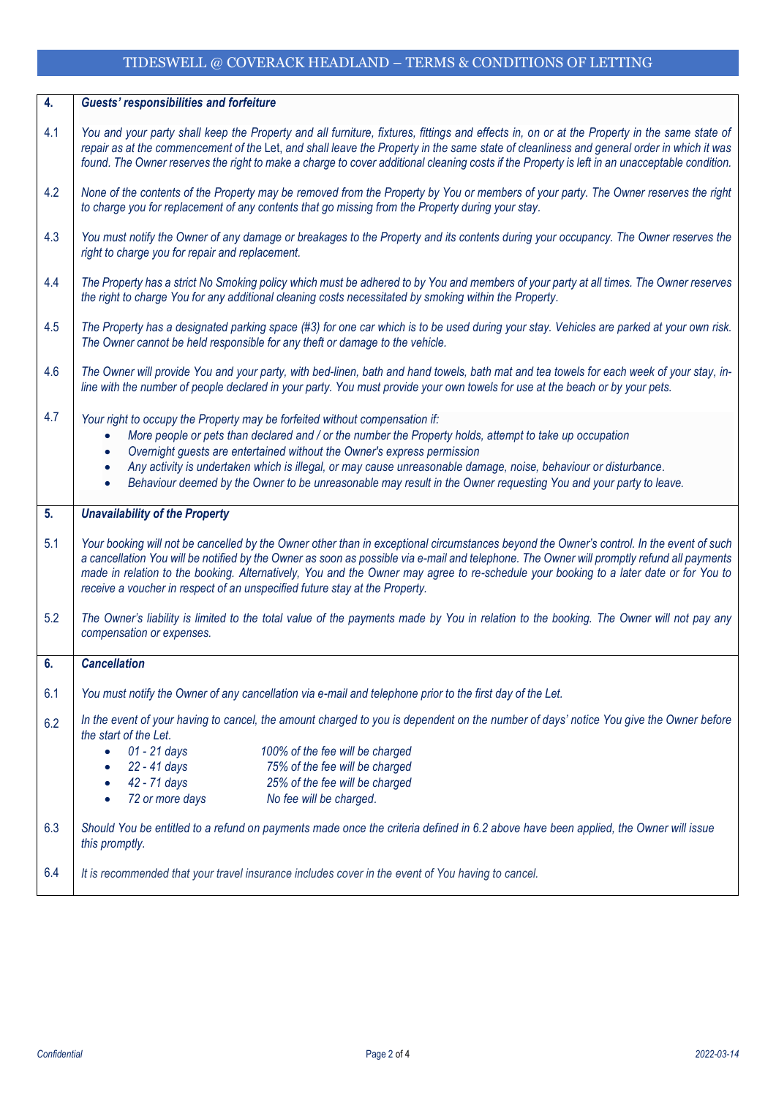## TIDESWELL @ COVERACK HEADLAND – TERMS & CONDITIONS OF LETTING

| $\overline{4}$ . | <b>Guests' responsibilities and forfeiture</b>                                                                                                                                                                                                                                                                                                                                                                                                                                                                                     |
|------------------|------------------------------------------------------------------------------------------------------------------------------------------------------------------------------------------------------------------------------------------------------------------------------------------------------------------------------------------------------------------------------------------------------------------------------------------------------------------------------------------------------------------------------------|
| 4.1              | You and your party shall keep the Property and all furniture, fixtures, fittings and effects in, on or at the Property in the same state of<br>repair as at the commencement of the Let, and shall leave the Property in the same state of cleanliness and general order in which it was<br>found. The Owner reserves the right to make a charge to cover additional cleaning costs if the Property is left in an unacceptable condition.                                                                                          |
| 4.2              | None of the contents of the Property may be removed from the Property by You or members of your party. The Owner reserves the right<br>to charge you for replacement of any contents that go missing from the Property during your stay.                                                                                                                                                                                                                                                                                           |
| 4.3              | You must notify the Owner of any damage or breakages to the Property and its contents during your occupancy. The Owner reserves the<br>right to charge you for repair and replacement.                                                                                                                                                                                                                                                                                                                                             |
| 4.4              | The Property has a strict No Smoking policy which must be adhered to by You and members of your party at all times. The Owner reserves<br>the right to charge You for any additional cleaning costs necessitated by smoking within the Property.                                                                                                                                                                                                                                                                                   |
| 4.5              | The Property has a designated parking space (#3) for one car which is to be used during your stay. Vehicles are parked at your own risk.<br>The Owner cannot be held responsible for any theft or damage to the vehicle.                                                                                                                                                                                                                                                                                                           |
| 4.6              | The Owner will provide You and your party, with bed-linen, bath and hand towels, bath mat and tea towels for each week of your stay, in-<br>line with the number of people declared in your party. You must provide your own towels for use at the beach or by your pets.                                                                                                                                                                                                                                                          |
| 4.7              | Your right to occupy the Property may be forfeited without compensation if:<br>More people or pets than declared and / or the number the Property holds, attempt to take up occupation<br>$\bullet$<br>Overnight guests are entertained without the Owner's express permission<br>Any activity is undertaken which is illegal, or may cause unreasonable damage, noise, behaviour or disturbance.<br>$\bullet$<br>Behaviour deemed by the Owner to be unreasonable may result in the Owner requesting You and your party to leave. |
| 5.               | <b>Unavailability of the Property</b>                                                                                                                                                                                                                                                                                                                                                                                                                                                                                              |
| 5.1              | Your booking will not be cancelled by the Owner other than in exceptional circumstances beyond the Owner's control. In the event of such<br>a cancellation You will be notified by the Owner as soon as possible via e-mail and telephone. The Owner will promptly refund all payments<br>made in relation to the booking. Alternatively, You and the Owner may agree to re-schedule your booking to a later date or for You to<br>receive a voucher in respect of an unspecified future stay at the Property.                     |
| 5.2              | The Owner's liability is limited to the total value of the payments made by You in relation to the booking. The Owner will not pay any<br>compensation or expenses.                                                                                                                                                                                                                                                                                                                                                                |
| 6.               | <b>Cancellation</b>                                                                                                                                                                                                                                                                                                                                                                                                                                                                                                                |
| 6.1              | You must notify the Owner of any cancellation via e-mail and telephone prior to the first day of the Let.                                                                                                                                                                                                                                                                                                                                                                                                                          |
| 6.2              | In the event of your having to cancel, the amount charged to you is dependent on the number of days' notice You give the Owner before<br>the start of the Let.                                                                                                                                                                                                                                                                                                                                                                     |
|                  | 01 - 21 days<br>100% of the fee will be charged<br>$\bullet$<br>75% of the fee will be charged<br>22 - 41 days<br>$\bullet$                                                                                                                                                                                                                                                                                                                                                                                                        |
|                  | 25% of the fee will be charged<br>42 - 71 days<br>$\bullet$                                                                                                                                                                                                                                                                                                                                                                                                                                                                        |
|                  | 72 or more days<br>No fee will be charged.<br>$\bullet$                                                                                                                                                                                                                                                                                                                                                                                                                                                                            |
| 6.3              | Should You be entitled to a refund on payments made once the criteria defined in 6.2 above have been applied, the Owner will issue<br>this promptly.                                                                                                                                                                                                                                                                                                                                                                               |
| 6.4              | It is recommended that your travel insurance includes cover in the event of You having to cancel.                                                                                                                                                                                                                                                                                                                                                                                                                                  |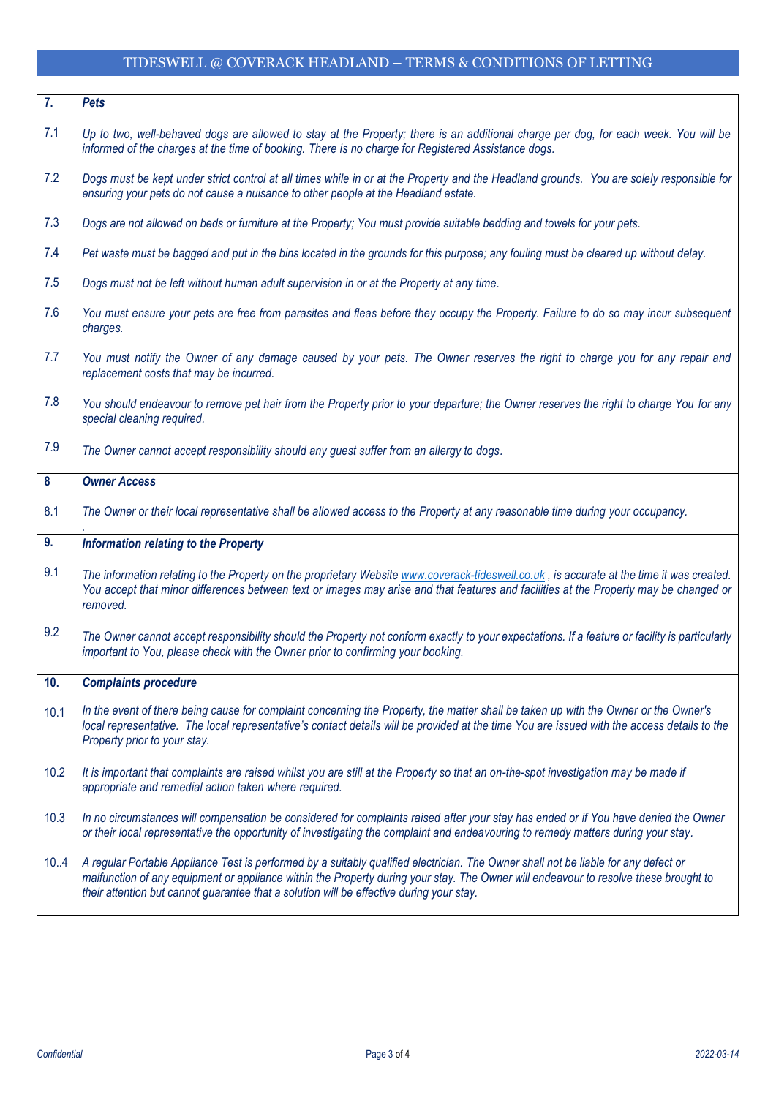## TIDESWELL @ COVERACK HEADLAND – TERMS & CONDITIONS OF LETTING

| 7.   | <b>Pets</b>                                                                                                                                                                                                                                                                                                        |
|------|--------------------------------------------------------------------------------------------------------------------------------------------------------------------------------------------------------------------------------------------------------------------------------------------------------------------|
| 7.1  | Up to two, well-behaved dogs are allowed to stay at the Property; there is an additional charge per dog, for each week. You will be<br>informed of the charges at the time of booking. There is no charge for Registered Assistance dogs.                                                                          |
| 7.2  | Dogs must be kept under strict control at all times while in or at the Property and the Headland grounds. You are solely responsible for<br>ensuring your pets do not cause a nuisance to other people at the Headland estate.                                                                                     |
| 7.3  | Dogs are not allowed on beds or furniture at the Property; You must provide suitable bedding and towels for your pets.                                                                                                                                                                                             |
| 7.4  | Pet waste must be bagged and put in the bins located in the grounds for this purpose; any fouling must be cleared up without delay.                                                                                                                                                                                |
| 7.5  | Dogs must not be left without human adult supervision in or at the Property at any time.                                                                                                                                                                                                                           |
| 7.6  | You must ensure your pets are free from parasites and fleas before they occupy the Property. Failure to do so may incur subsequent<br>charges.                                                                                                                                                                     |
| 7.7  | You must notify the Owner of any damage caused by your pets. The Owner reserves the right to charge you for any repair and<br>replacement costs that may be incurred.                                                                                                                                              |
| 7.8  | You should endeavour to remove pet hair from the Property prior to your departure; the Owner reserves the right to charge You for any<br>special cleaning required.                                                                                                                                                |
| 7.9  | The Owner cannot accept responsibility should any guest suffer from an allergy to dogs.                                                                                                                                                                                                                            |
| 8    | <b>Owner Access</b>                                                                                                                                                                                                                                                                                                |
| 8.1  | The Owner or their local representative shall be allowed access to the Property at any reasonable time during your occupancy.                                                                                                                                                                                      |
| 9.   | <b>Information relating to the Property</b>                                                                                                                                                                                                                                                                        |
| 9.1  | The information relating to the Property on the proprietary Website www.coverack-tideswell.co.uk, is accurate at the time it was created.<br>You accept that minor differences between text or images may arise and that features and facilities at the Property may be changed or<br>removed.                     |
| 9.2  | The Owner cannot accept responsibility should the Property not conform exactly to your expectations. If a feature or facility is particularly<br>important to You, please check with the Owner prior to confirming your booking.                                                                                   |
| 10.  | <b>Complaints procedure</b>                                                                                                                                                                                                                                                                                        |
| 10.1 | In the event of there being cause for complaint concerning the Property, the matter shall be taken up with the Owner or the Owner's<br>local representative. The local representative's contact details will be provided at the time You are issued with the access details to the<br>Property prior to your stay. |
| 10.2 | It is important that complaints are raised whilst you are still at the Property so that an on-the-spot investigation may be made if<br>appropriate and remedial action taken where required.                                                                                                                       |
|      |                                                                                                                                                                                                                                                                                                                    |
| 10.3 | In no circumstances will compensation be considered for complaints raised after your stay has ended or if You have denied the Owner<br>or their local representative the opportunity of investigating the complaint and endeavouring to remedy matters during your stay.                                           |